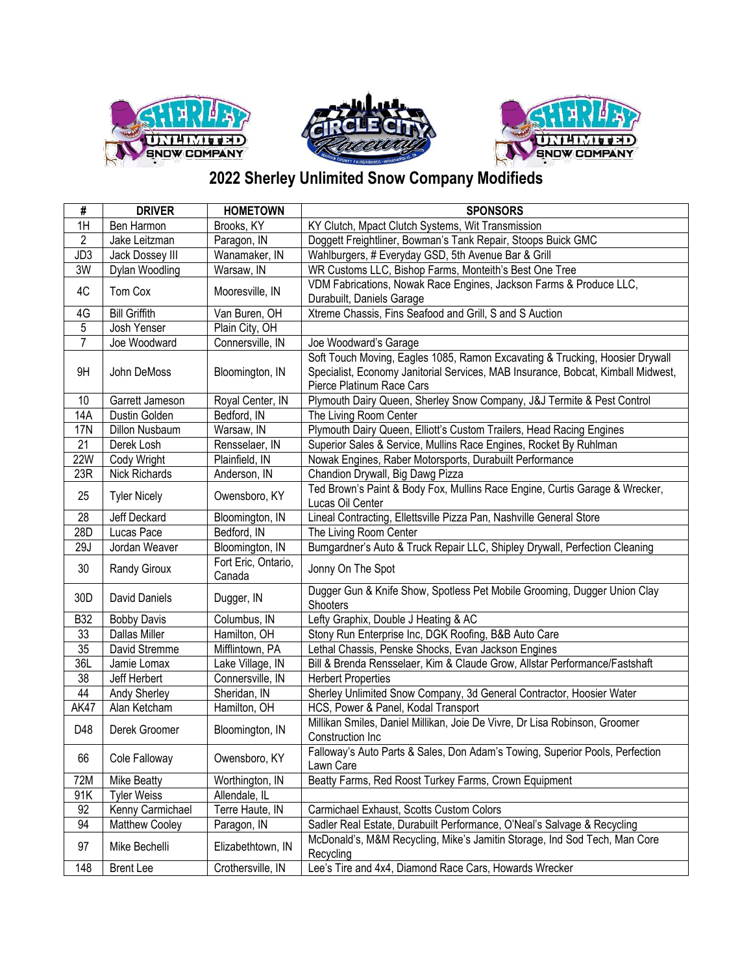





## **2022 Sherley Unlimited Snow Company Modifieds**

| #               | <b>DRIVER</b>        | <b>HOMETOWN</b>               | <b>SPONSORS</b>                                                                                                                                                                               |
|-----------------|----------------------|-------------------------------|-----------------------------------------------------------------------------------------------------------------------------------------------------------------------------------------------|
| 1H              | Ben Harmon           | Brooks, KY                    | KY Clutch, Mpact Clutch Systems, Wit Transmission                                                                                                                                             |
| $\overline{2}$  | Jake Leitzman        | Paragon, IN                   | Doggett Freightliner, Bowman's Tank Repair, Stoops Buick GMC                                                                                                                                  |
| JD3             | Jack Dossey III      | Wanamaker, IN                 | Wahlburgers, # Everyday GSD, 5th Avenue Bar & Grill                                                                                                                                           |
| 3W              | Dylan Woodling       | Warsaw, IN                    | WR Customs LLC, Bishop Farms, Monteith's Best One Tree                                                                                                                                        |
| 4C              | Tom Cox              | Mooresville, IN               | VDM Fabrications, Nowak Race Engines, Jackson Farms & Produce LLC,                                                                                                                            |
|                 |                      |                               | Durabuilt, Daniels Garage                                                                                                                                                                     |
| 4G              | <b>Bill Griffith</b> | Van Buren, OH                 | Xtreme Chassis, Fins Seafood and Grill, S and S Auction                                                                                                                                       |
| $\sqrt{5}$      | Josh Yenser          | Plain City, OH                |                                                                                                                                                                                               |
| $\overline{7}$  | Joe Woodward         | Connersville, IN              | Joe Woodward's Garage                                                                                                                                                                         |
| 9H              | John DeMoss          | Bloomington, IN               | Soft Touch Moving, Eagles 1085, Ramon Excavating & Trucking, Hoosier Drywall<br>Specialist, Economy Janitorial Services, MAB Insurance, Bobcat, Kimball Midwest,<br>Pierce Platinum Race Cars |
| 10              | Garrett Jameson      | Royal Center, IN              | Plymouth Dairy Queen, Sherley Snow Company, J&J Termite & Pest Control                                                                                                                        |
| 14A             | Dustin Golden        | Bedford, IN                   | The Living Room Center                                                                                                                                                                        |
| <b>17N</b>      | Dillon Nusbaum       | Warsaw, IN                    | Plymouth Dairy Queen, Elliott's Custom Trailers, Head Racing Engines                                                                                                                          |
| 21              | Derek Losh           | Rensselaer, IN                | Superior Sales & Service, Mullins Race Engines, Rocket By Ruhlman                                                                                                                             |
| 22W             | Cody Wright          | Plainfield, IN                | Nowak Engines, Raber Motorsports, Durabuilt Performance                                                                                                                                       |
| 23R             | <b>Nick Richards</b> | Anderson, IN                  | Chandion Drywall, Big Dawg Pizza                                                                                                                                                              |
| 25              | <b>Tyler Nicely</b>  | Owensboro, KY                 | Ted Brown's Paint & Body Fox, Mullins Race Engine, Curtis Garage & Wrecker,<br>Lucas Oil Center                                                                                               |
| 28              | Jeff Deckard         | Bloomington, IN               | Lineal Contracting, Ellettsville Pizza Pan, Nashville General Store                                                                                                                           |
| 28D             | Lucas Pace           | Bedford, IN                   | The Living Room Center                                                                                                                                                                        |
| 29J             | Jordan Weaver        | Bloomington, IN               | Bumgardner's Auto & Truck Repair LLC, Shipley Drywall, Perfection Cleaning                                                                                                                    |
| 30              | Randy Giroux         | Fort Eric, Ontario,<br>Canada | Jonny On The Spot                                                                                                                                                                             |
| 30 <sub>D</sub> | David Daniels        | Dugger, IN                    | Dugger Gun & Knife Show, Spotless Pet Mobile Grooming, Dugger Union Clay<br>Shooters                                                                                                          |
| <b>B32</b>      | <b>Bobby Davis</b>   | Columbus, IN                  | Lefty Graphix, Double J Heating & AC                                                                                                                                                          |
| 33              | <b>Dallas Miller</b> | Hamilton, OH                  | Stony Run Enterprise Inc, DGK Roofing, B&B Auto Care                                                                                                                                          |
| 35              | David Stremme        | Mifflintown, PA               | Lethal Chassis, Penske Shocks, Evan Jackson Engines                                                                                                                                           |
| 36L             | Jamie Lomax          | Lake Village, IN              | Bill & Brenda Rensselaer, Kim & Claude Grow, Allstar Performance/Fastshaft                                                                                                                    |
| 38              | Jeff Herbert         | Connersville, IN              | <b>Herbert Properties</b>                                                                                                                                                                     |
| 44              | Andy Sherley         | Sheridan, IN                  | Sherley Unlimited Snow Company, 3d General Contractor, Hoosier Water                                                                                                                          |
| <b>AK47</b>     | Alan Ketcham         | Hamilton, OH                  | HCS, Power & Panel, Kodal Transport                                                                                                                                                           |
| D48             | Derek Groomer        | Bloomington, IN               | Millikan Smiles, Daniel Millikan, Joie De Vivre, Dr Lisa Robinson, Groomer<br>Construction Inc                                                                                                |
| 66              | Cole Falloway        | Owensboro, KY                 | Falloway's Auto Parts & Sales, Don Adam's Towing, Superior Pools, Perfection<br>Lawn Care                                                                                                     |
| 72M             | Mike Beatty          | Worthington, IN               | Beatty Farms, Red Roost Turkey Farms, Crown Equipment                                                                                                                                         |
| 91K             | <b>Tyler Weiss</b>   | Allendale, IL                 |                                                                                                                                                                                               |
| 92              | Kenny Carmichael     | Terre Haute, IN               | Carmichael Exhaust, Scotts Custom Colors                                                                                                                                                      |
| 94              | Matthew Cooley       | Paragon, IN                   | Sadler Real Estate, Durabuilt Performance, O'Neal's Salvage & Recycling                                                                                                                       |
| 97              | Mike Bechelli        | Elizabethtown, IN             | McDonald's, M&M Recycling, Mike's Jamitin Storage, Ind Sod Tech, Man Core<br>Recycling                                                                                                        |
| 148             | <b>Brent Lee</b>     | Crothersville, IN             | Lee's Tire and 4x4, Diamond Race Cars, Howards Wrecker                                                                                                                                        |